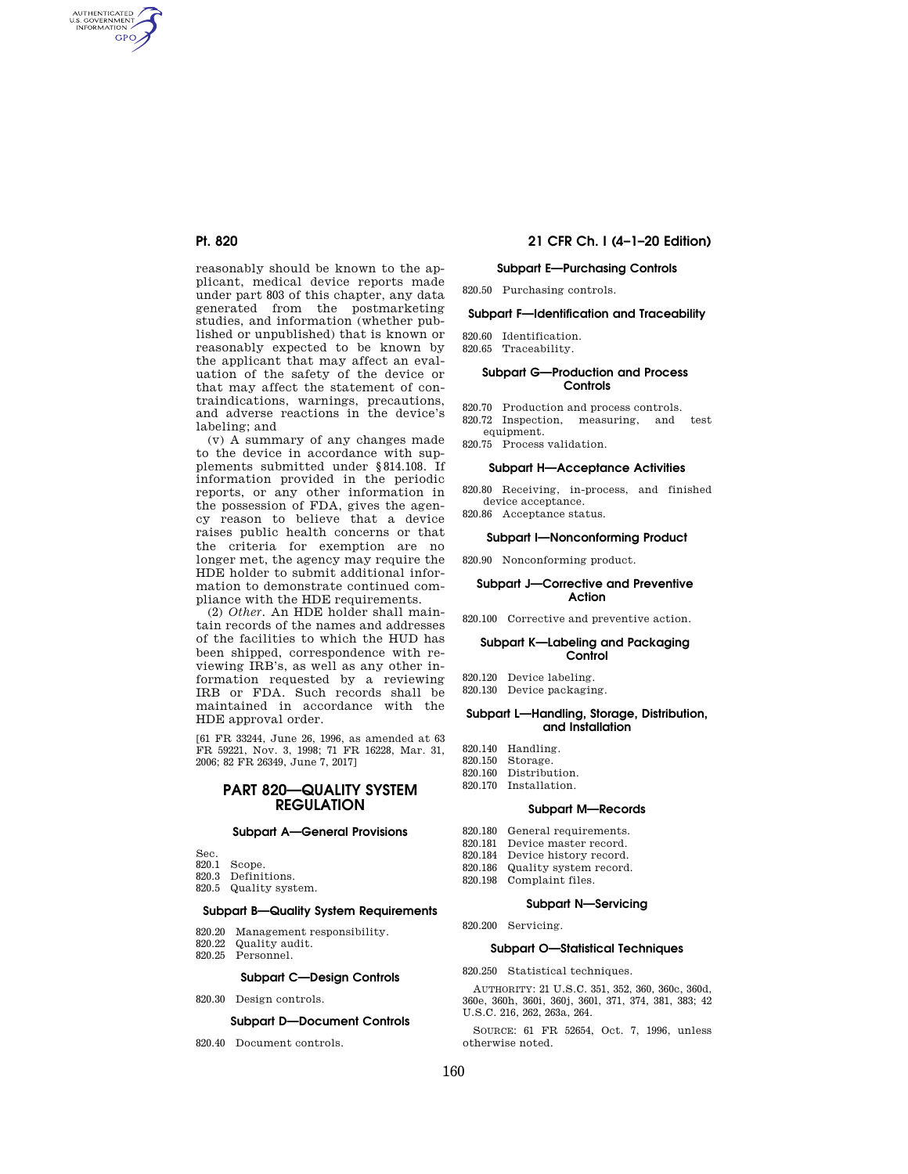AUTHENTICATED<br>U.S. GOVERNMENT<br>INFORMATION **GPO** 

> reasonably should be known to the applicant, medical device reports made under part 803 of this chapter, any data generated from the postmarketing studies, and information (whether published or unpublished) that is known or reasonably expected to be known by the applicant that may affect an evaluation of the safety of the device or that may affect the statement of contraindications, warnings, precautions, and adverse reactions in the device's labeling; and

> (v) A summary of any changes made to the device in accordance with supplements submitted under §814.108. If information provided in the periodic reports, or any other information in the possession of FDA, gives the agency reason to believe that a device raises public health concerns or that the criteria for exemption are no longer met, the agency may require the HDE holder to submit additional information to demonstrate continued compliance with the HDE requirements.

> (2) *Other.* An HDE holder shall maintain records of the names and addresses of the facilities to which the HUD has been shipped, correspondence with reviewing IRB's, as well as any other information requested by a reviewing IRB or FDA. Such records shall be maintained in accordance with the HDE approval order.

> [61 FR 33244, June 26, 1996, as amended at 63 FR 59221, Nov. 3, 1998; 71 FR 16228, Mar. 31, 2006; 82 FR 26349, June 7, 2017]

# **PART 820—QUALITY SYSTEM REGULATION**

#### **Subpart A—General Provisions**

- Sec.
- 820.1 Scope.
- 820.3 Definitions. 820.5 Quality system.

# **Subpart B—Quality System Requirements**

- 
- 820.20 Management responsibility.<br>820.22 Quality audit
- 820.22 Quality audit.<br>820.25 Personnel. Personnel.

# **Subpart C—Design Controls**

820.30 Design controls.

#### **Subpart D—Document Controls**

820.40 Document controls.

# **Pt. 820 21 CFR Ch. I (4–1–20 Edition)**

# **Subpart E—Purchasing Controls**

820.50 Purchasing controls.

#### **Subpart F—Identification and Traceability**

820.60 Identification. 820.65 Traceability.

#### **Subpart G—Production and Process Controls**

820.70 Production and process controls. 820.72 Inspection, measuring, and test equipment.

820.75 Process validation.

#### **Subpart H—Acceptance Activities**

820.80 Receiving, in-process, and finished device acceptance.

820.86 Acceptance status.

#### **Subpart I—Nonconforming Product**

820.90 Nonconforming product.

#### **Subpart J—Corrective and Preventive Action**

820.100 Corrective and preventive action.

#### **Subpart K—Labeling and Packaging Control**

- 820.120 Device labeling.
- 820.130 Device packaging.

#### **Subpart L—Handling, Storage, Distribution, and Installation**

- 820.140 Handling.
- 820.150 Storage.
- 820.160 Distribution.
- 820.170 Installation.

#### **Subpart M—Records**

- 820.180 General requirements.
- 820.181 Device master record.
- 820.184 Device history record.
- 820.186 Quality system record.
- 820.198 Complaint files.

### **Subpart N—Servicing**

820.200 Servicing.

#### **Subpart O—Statistical Techniques**

820.250 Statistical techniques.

AUTHORITY: 21 U.S.C. 351, 352, 360, 360c, 360d, 360e, 360h, 360i, 360j, 360l, 371, 374, 381, 383; 42 U.S.C. 216, 262, 263a, 264.

SOURCE: 61 FR 52654, Oct. 7, 1996, unless otherwise noted.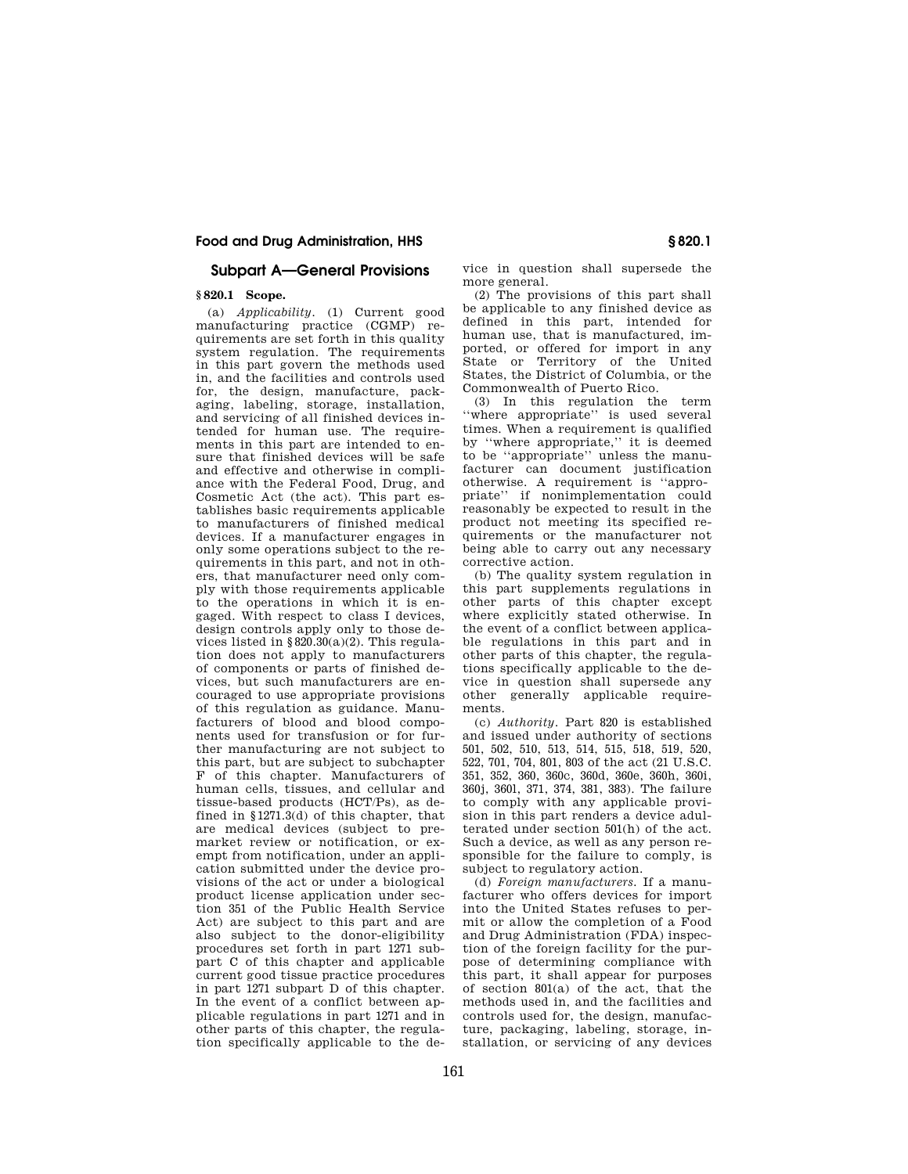### **Subpart A—General Provisions**

#### **§ 820.1 Scope.**

(a) *Applicability.* (1) Current good manufacturing practice (CGMP) requirements are set forth in this quality system regulation. The requirements in this part govern the methods used in, and the facilities and controls used for, the design, manufacture, packaging, labeling, storage, installation, and servicing of all finished devices intended for human use. The requirements in this part are intended to ensure that finished devices will be safe and effective and otherwise in compliance with the Federal Food, Drug, and Cosmetic Act (the act). This part establishes basic requirements applicable to manufacturers of finished medical devices. If a manufacturer engages in only some operations subject to the requirements in this part, and not in others, that manufacturer need only comply with those requirements applicable to the operations in which it is engaged. With respect to class I devices, design controls apply only to those devices listed in  $§820.30(a)(2)$ . This regulation does not apply to manufacturers of components or parts of finished devices, but such manufacturers are encouraged to use appropriate provisions of this regulation as guidance. Manufacturers of blood and blood components used for transfusion or for further manufacturing are not subject to this part, but are subject to subchapter F of this chapter. Manufacturers of human cells, tissues, and cellular and tissue-based products (HCT/Ps), as defined in §1271.3(d) of this chapter, that are medical devices (subject to premarket review or notification, or exempt from notification, under an application submitted under the device provisions of the act or under a biological product license application under section 351 of the Public Health Service Act) are subject to this part and are also subject to the donor-eligibility procedures set forth in part 1271 subpart C of this chapter and applicable current good tissue practice procedures in part 1271 subpart D of this chapter. In the event of a conflict between applicable regulations in part 1271 and in other parts of this chapter, the regulation specifically applicable to the device in question shall supersede the more general.

(2) The provisions of this part shall be applicable to any finished device as defined in this part, intended for human use, that is manufactured, imported, or offered for import in any State or Territory of the United States, the District of Columbia, or the Commonwealth of Puerto Rico.

(3) In this regulation the term ''where appropriate'' is used several times. When a requirement is qualified by ''where appropriate,'' it is deemed to be ''appropriate'' unless the manufacturer can document justification otherwise. A requirement is ''appropriate'' if nonimplementation could reasonably be expected to result in the product not meeting its specified requirements or the manufacturer not being able to carry out any necessary corrective action.

(b) The quality system regulation in this part supplements regulations in other parts of this chapter except where explicitly stated otherwise. In the event of a conflict between applicable regulations in this part and in other parts of this chapter, the regulations specifically applicable to the device in question shall supersede any other generally applicable requirements.

(c) *Authority.* Part 820 is established and issued under authority of sections 501, 502, 510, 513, 514, 515, 518, 519, 520, 522, 701, 704, 801, 803 of the act (21 U.S.C. 351, 352, 360, 360c, 360d, 360e, 360h, 360i, 360j, 360l, 371, 374, 381, 383). The failure to comply with any applicable provision in this part renders a device adulterated under section 501(h) of the act. Such a device, as well as any person responsible for the failure to comply, is subject to regulatory action.

(d) *Foreign manufacturers.* If a manufacturer who offers devices for import into the United States refuses to permit or allow the completion of a Food and Drug Administration (FDA) inspection of the foreign facility for the purpose of determining compliance with this part, it shall appear for purposes of section 801(a) of the act, that the methods used in, and the facilities and controls used for, the design, manufacture, packaging, labeling, storage, installation, or servicing of any devices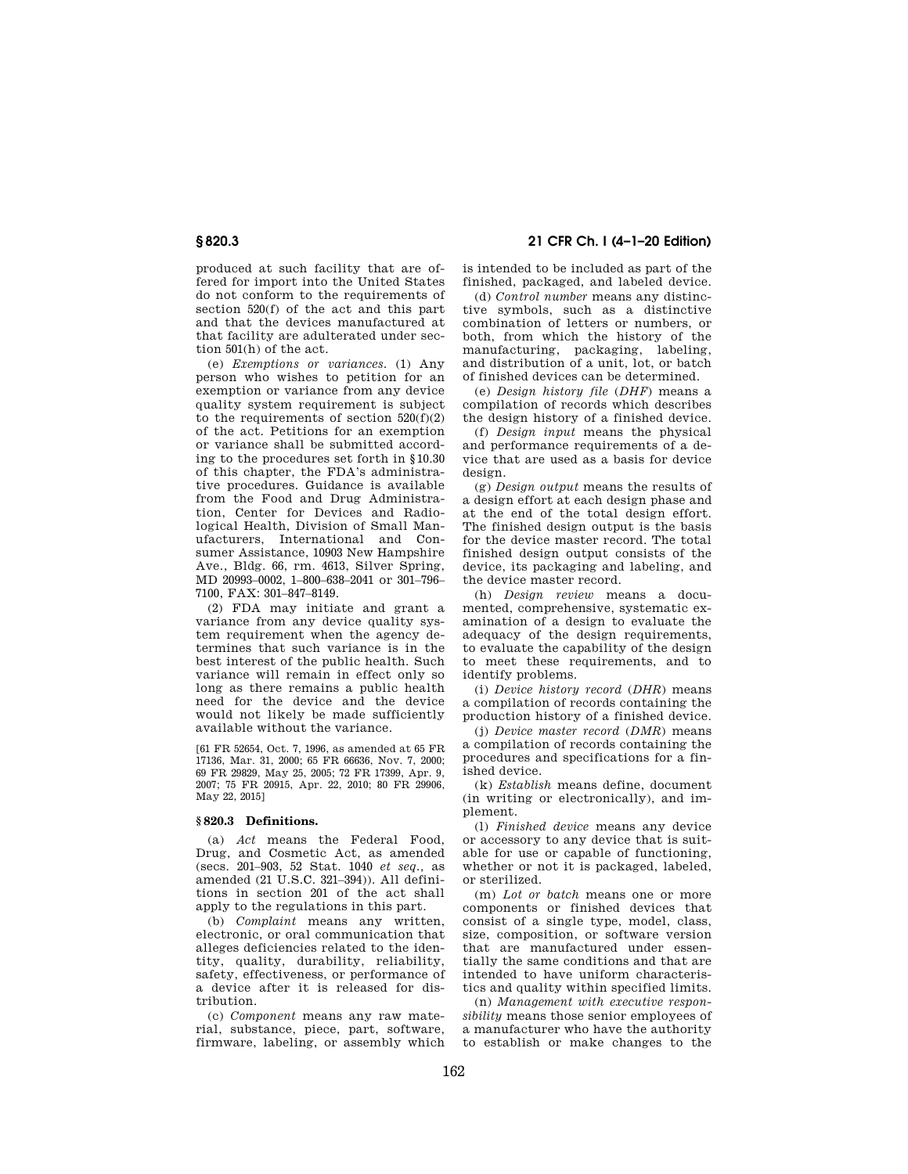produced at such facility that are offered for import into the United States do not conform to the requirements of section 520(f) of the act and this part and that the devices manufactured at that facility are adulterated under section 501(h) of the act.

(e) *Exemptions or variances.* (1) Any person who wishes to petition for an exemption or variance from any device quality system requirement is subject to the requirements of section  $520(f)(2)$ of the act. Petitions for an exemption or variance shall be submitted according to the procedures set forth in §10.30 of this chapter, the FDA's administrative procedures. Guidance is available from the Food and Drug Administration, Center for Devices and Radiological Health, Division of Small Manufacturers, International and Consumer Assistance, 10903 New Hampshire Ave., Bldg. 66, rm. 4613, Silver Spring, MD 20993–0002, 1–800–638–2041 or 301–796– 7100, FAX: 301–847–8149.

(2) FDA may initiate and grant a variance from any device quality system requirement when the agency determines that such variance is in the best interest of the public health. Such variance will remain in effect only so long as there remains a public health need for the device and the device would not likely be made sufficiently available without the variance.

[61 FR 52654, Oct. 7, 1996, as amended at 65 FR 17136, Mar. 31, 2000; 65 FR 66636, Nov. 7, 2000; 69 FR 29829, May 25, 2005; 72 FR 17399, Apr. 9, 2007; 75 FR 20915, Apr. 22, 2010; 80 FR 29906, May 22, 2015]

#### **§ 820.3 Definitions.**

(a) *Act* means the Federal Food, Drug, and Cosmetic Act, as amended (secs. 201–903, 52 Stat. 1040 *et seq.,* as amended (21 U.S.C. 321–394)). All definitions in section 201 of the act shall apply to the regulations in this part.

(b) *Complaint* means any written, electronic, or oral communication that alleges deficiencies related to the identity, quality, durability, reliability, safety, effectiveness, or performance of a device after it is released for distribution.

(c) *Component* means any raw material, substance, piece, part, software, firmware, labeling, or assembly which

**§ 820.3 21 CFR Ch. I (4–1–20 Edition)** 

is intended to be included as part of the finished, packaged, and labeled device.

(d) *Control number* means any distinctive symbols, such as a distinctive combination of letters or numbers, or both, from which the history of the manufacturing, packaging, labeling, and distribution of a unit, lot, or batch of finished devices can be determined.

(e) *Design history file* (*DHF*) means a compilation of records which describes the design history of a finished device.

(f) *Design input* means the physical and performance requirements of a device that are used as a basis for device design.

(g) *Design output* means the results of a design effort at each design phase and at the end of the total design effort. The finished design output is the basis for the device master record. The total finished design output consists of the device, its packaging and labeling, and the device master record.

(h) *Design review* means a documented, comprehensive, systematic examination of a design to evaluate the adequacy of the design requirements. to evaluate the capability of the design to meet these requirements, and to identify problems.

(i) *Device history record* (*DHR*) means a compilation of records containing the production history of a finished device.

(j) *Device master record* (*DMR*) means a compilation of records containing the procedures and specifications for a finished device.

(k) *Establish* means define, document (in writing or electronically), and implement.

(l) *Finished device* means any device or accessory to any device that is suitable for use or capable of functioning, whether or not it is packaged, labeled, or sterilized.

(m) *Lot or batch* means one or more components or finished devices that consist of a single type, model, class, size, composition, or software version that are manufactured under essentially the same conditions and that are intended to have uniform characteristics and quality within specified limits.

(n) *Management with executive responsibility* means those senior employees of a manufacturer who have the authority to establish or make changes to the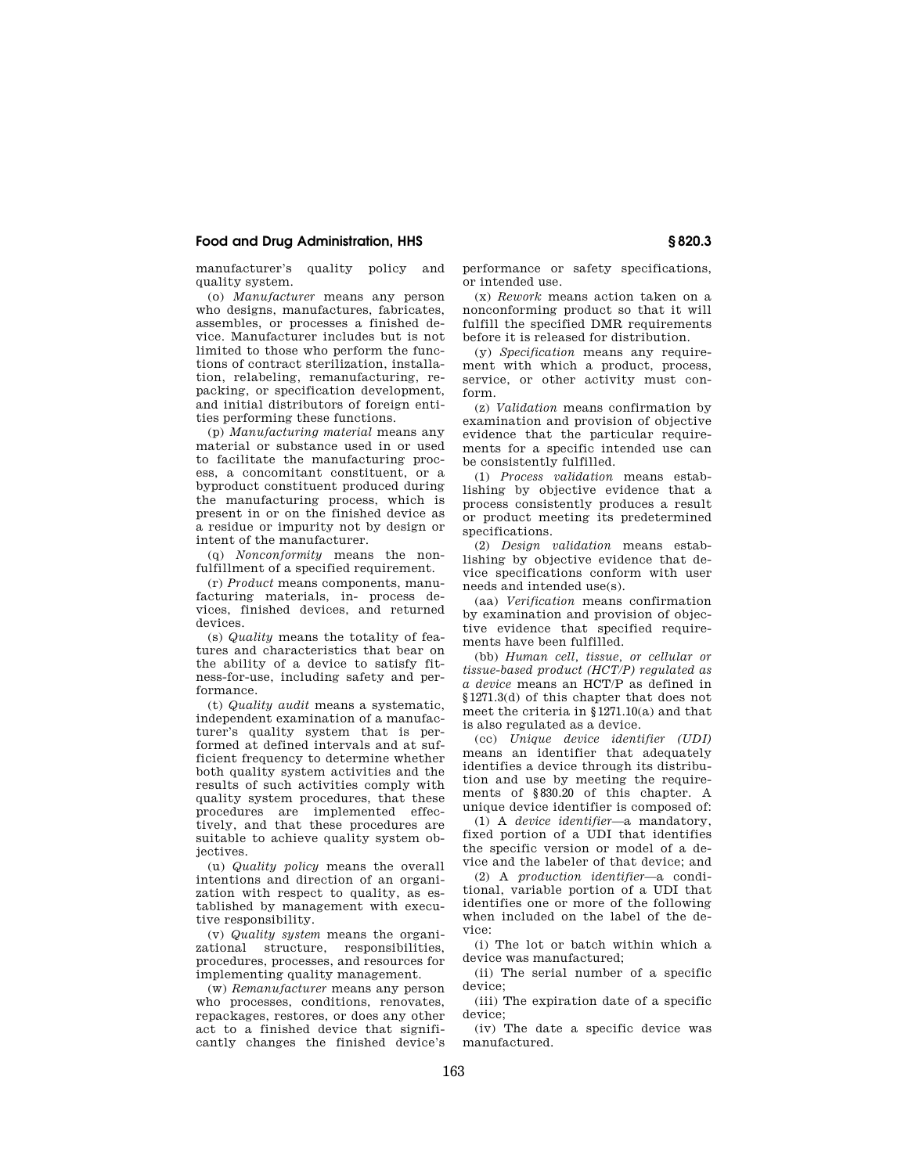manufacturer's quality policy and quality system.

(o) *Manufacturer* means any person who designs, manufactures, fabricates, assembles, or processes a finished device. Manufacturer includes but is not limited to those who perform the functions of contract sterilization, installation, relabeling, remanufacturing, repacking, or specification development, and initial distributors of foreign entities performing these functions.

(p) *Manufacturing material* means any material or substance used in or used to facilitate the manufacturing process, a concomitant constituent, or a byproduct constituent produced during the manufacturing process, which is present in or on the finished device as a residue or impurity not by design or intent of the manufacturer.

(q) *Nonconformity* means the nonfulfillment of a specified requirement.

(r) *Product* means components, manufacturing materials, in- process devices, finished devices, and returned devices.

(s) *Quality* means the totality of features and characteristics that bear on the ability of a device to satisfy fitness-for-use, including safety and performance.

(t) *Quality audit* means a systematic, independent examination of a manufacturer's quality system that is performed at defined intervals and at sufficient frequency to determine whether both quality system activities and the results of such activities comply with quality system procedures, that these procedures are implemented effectively, and that these procedures are suitable to achieve quality system objectives.

(u) *Quality policy* means the overall intentions and direction of an organization with respect to quality, as established by management with executive responsibility.

(v) *Quality system* means the organizational structure, responsibilities, procedures, processes, and resources for implementing quality management.

(w) *Remanufacturer* means any person who processes, conditions, renovates, repackages, restores, or does any other act to a finished device that significantly changes the finished device's performance or safety specifications, or intended use.

(x) *Rework* means action taken on a nonconforming product so that it will fulfill the specified DMR requirements before it is released for distribution.

(y) *Specification* means any requirement with which a product, process, service, or other activity must conform.

(z) *Validation* means confirmation by examination and provision of objective evidence that the particular requirements for a specific intended use can be consistently fulfilled.

(1) *Process validation* means establishing by objective evidence that a process consistently produces a result or product meeting its predetermined specifications.

(2) *Design validation* means establishing by objective evidence that device specifications conform with user needs and intended use(s).

(aa) *Verification* means confirmation by examination and provision of objective evidence that specified requirements have been fulfilled.

(bb) *Human cell, tissue, or cellular or tissue-based product (HCT/P) regulated as a device* means an HCT/P as defined in §1271.3(d) of this chapter that does not meet the criteria in §1271.10(a) and that is also regulated as a device.

(cc) *Unique device identifier (UDI)*  means an identifier that adequately identifies a device through its distribution and use by meeting the requirements of §830.20 of this chapter. A unique device identifier is composed of:

(1) A *device identifier*—a mandatory, fixed portion of a UDI that identifies the specific version or model of a device and the labeler of that device; and

(2) A *production identifier*—a conditional, variable portion of a UDI that identifies one or more of the following when included on the label of the device:

(i) The lot or batch within which a device was manufactured;

(ii) The serial number of a specific device;

(iii) The expiration date of a specific device;

(iv) The date a specific device was manufactured.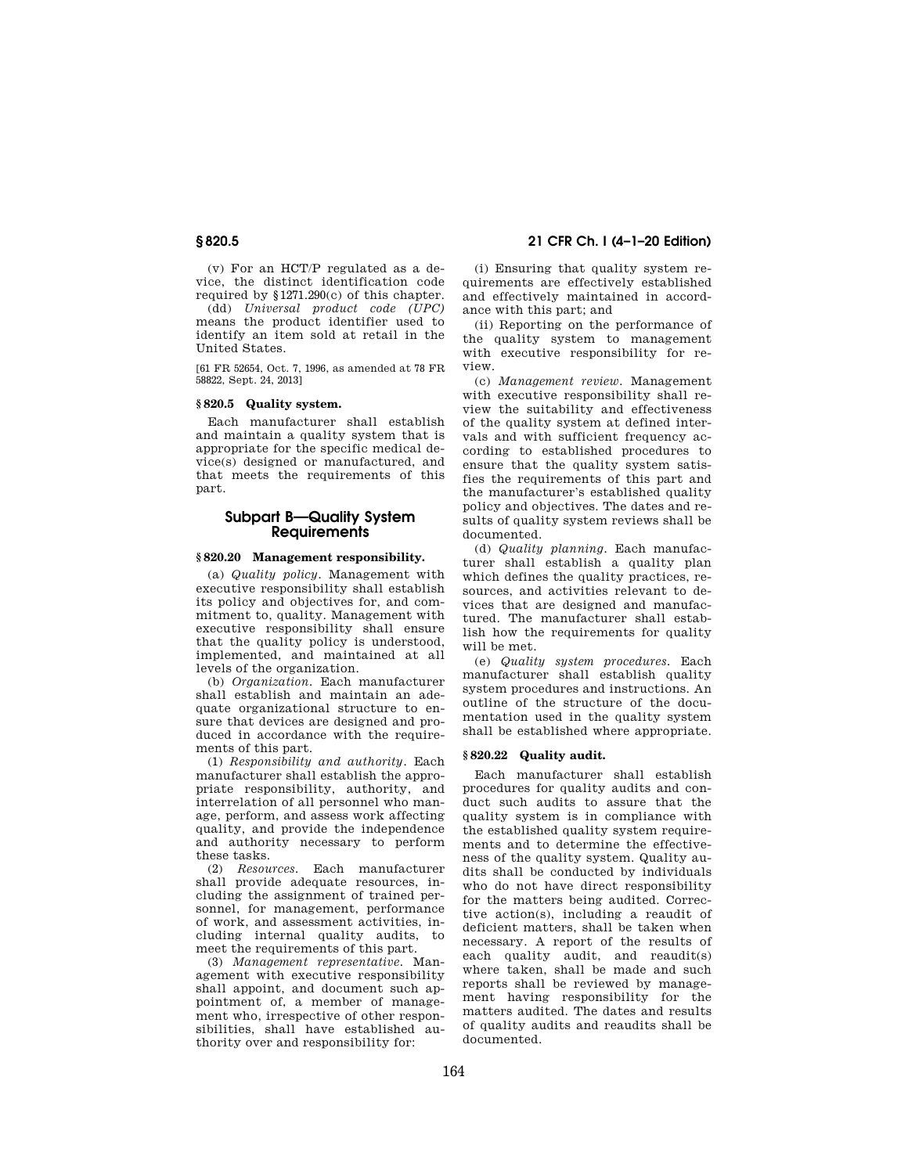(v) For an HCT/P regulated as a device, the distinct identification code required by §1271.290(c) of this chapter.

(dd) *Universal product code (UPC)*  means the product identifier used to identify an item sold at retail in the United States.

[61 FR 52654, Oct. 7, 1996, as amended at 78 FR 58822, Sept. 24, 2013]

#### **§ 820.5 Quality system.**

Each manufacturer shall establish and maintain a quality system that is appropriate for the specific medical device(s) designed or manufactured, and that meets the requirements of this part.

# **Subpart B—Quality System Requirements**

#### **§ 820.20 Management responsibility.**

(a) *Quality policy.* Management with executive responsibility shall establish its policy and objectives for, and commitment to, quality. Management with executive responsibility shall ensure that the quality policy is understood, implemented, and maintained at all levels of the organization.

(b) *Organization.* Each manufacturer shall establish and maintain an adequate organizational structure to ensure that devices are designed and produced in accordance with the requirements of this part.

(1) *Responsibility and authority.* Each manufacturer shall establish the appropriate responsibility, authority, and interrelation of all personnel who manage, perform, and assess work affecting quality, and provide the independence and authority necessary to perform these tasks.

(2) *Resources.* Each manufacturer shall provide adequate resources, including the assignment of trained personnel, for management, performance of work, and assessment activities, including internal quality audits, to meet the requirements of this part.

(3) *Management representative.* Management with executive responsibility shall appoint, and document such appointment of, a member of management who, irrespective of other responsibilities, shall have established authority over and responsibility for:

**§ 820.5 21 CFR Ch. I (4–1–20 Edition)** 

(i) Ensuring that quality system requirements are effectively established and effectively maintained in accordance with this part; and

(ii) Reporting on the performance of the quality system to management with executive responsibility for review.

(c) *Management review.* Management with executive responsibility shall review the suitability and effectiveness of the quality system at defined intervals and with sufficient frequency according to established procedures to ensure that the quality system satisfies the requirements of this part and the manufacturer's established quality policy and objectives. The dates and results of quality system reviews shall be documented.

(d) *Quality planning.* Each manufacturer shall establish a quality plan which defines the quality practices, resources, and activities relevant to devices that are designed and manufactured. The manufacturer shall establish how the requirements for quality will be met.

(e) *Quality system procedures.* Each manufacturer shall establish quality system procedures and instructions. An outline of the structure of the documentation used in the quality system shall be established where appropriate.

# **§ 820.22 Quality audit.**

Each manufacturer shall establish procedures for quality audits and conduct such audits to assure that the quality system is in compliance with the established quality system requirements and to determine the effectiveness of the quality system. Quality audits shall be conducted by individuals who do not have direct responsibility for the matters being audited. Corrective action(s), including a reaudit of deficient matters, shall be taken when necessary. A report of the results of each quality audit, and reaudit(s) where taken, shall be made and such reports shall be reviewed by management having responsibility for the matters audited. The dates and results of quality audits and reaudits shall be documented.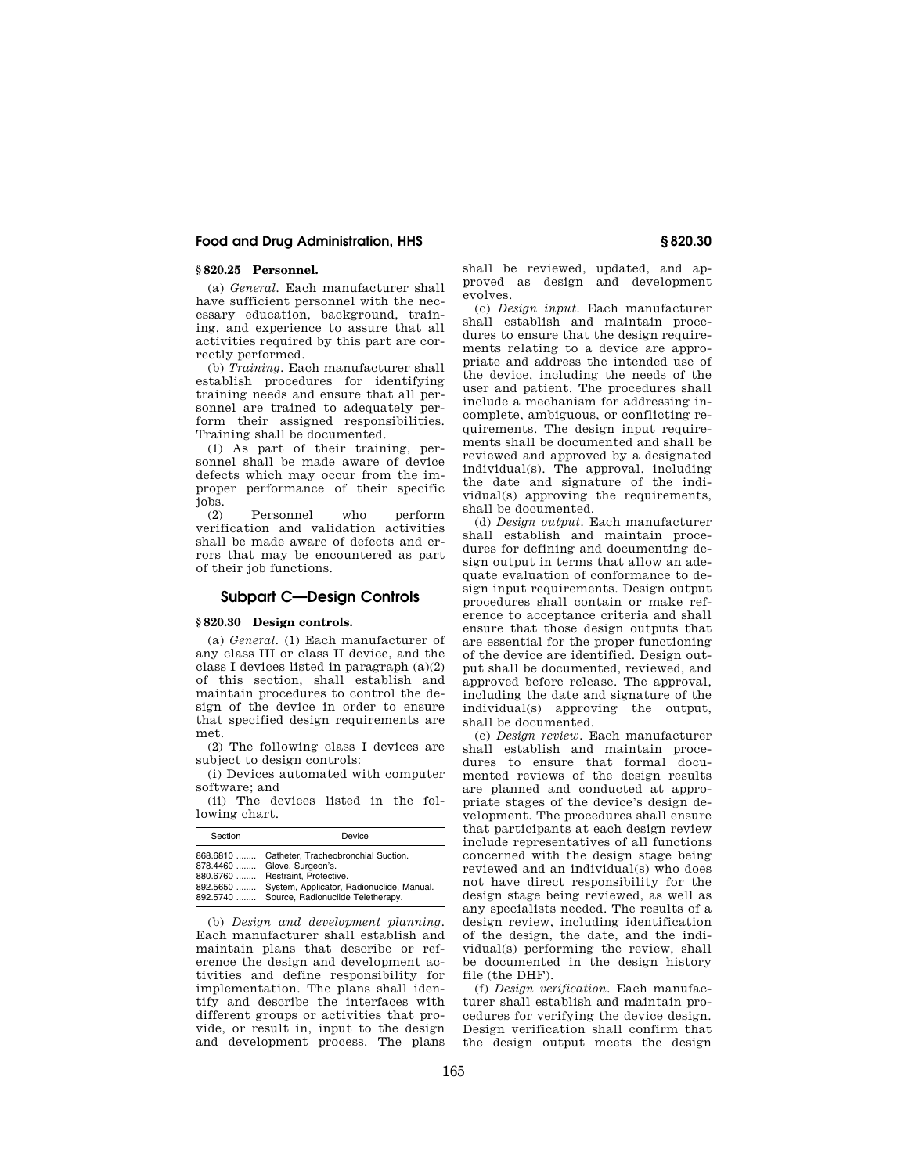# **§ 820.25 Personnel.**

(a) *General.* Each manufacturer shall have sufficient personnel with the necessary education, background, training, and experience to assure that all activities required by this part are correctly performed.

(b) *Training.* Each manufacturer shall establish procedures for identifying training needs and ensure that all personnel are trained to adequately perform their assigned responsibilities. Training shall be documented.

(1) As part of their training, personnel shall be made aware of device defects which may occur from the improper performance of their specific jobs.

(2) Personnel who perform verification and validation activities shall be made aware of defects and errors that may be encountered as part of their job functions.

# **Subpart C—Design Controls**

#### **§ 820.30 Design controls.**

(a) *General.* (1) Each manufacturer of any class III or class II device, and the class I devices listed in paragraph (a)(2) of this section, shall establish and maintain procedures to control the design of the device in order to ensure that specified design requirements are met.

(2) The following class I devices are subject to design controls:

(i) Devices automated with computer software; and

(ii) The devices listed in the following chart.

| Section | Device                                                          |
|---------|-----------------------------------------------------------------|
|         | 868.6810    Catheter, Tracheobronchial Suction.                 |
|         |                                                                 |
|         | 878.4460  Glove, Surgeon's.<br>880.6760  Restraint, Protective. |
|         | 892.5650    System, Applicator, Radionuclide, Manual.           |
|         | 892.5740  Source, Radionuclide Teletherapy.                     |

(b) *Design and development planning.*  Each manufacturer shall establish and maintain plans that describe or reference the design and development activities and define responsibility for implementation. The plans shall identify and describe the interfaces with different groups or activities that provide, or result in, input to the design and development process. The plans shall be reviewed, updated, and approved as design and development evolves.

(c) *Design input.* Each manufacturer shall establish and maintain procedures to ensure that the design requirements relating to a device are appropriate and address the intended use of the device, including the needs of the user and patient. The procedures shall include a mechanism for addressing incomplete, ambiguous, or conflicting requirements. The design input requirements shall be documented and shall be reviewed and approved by a designated individual(s). The approval, including the date and signature of the individual(s) approving the requirements, shall be documented.

(d) *Design output.* Each manufacturer shall establish and maintain procedures for defining and documenting design output in terms that allow an adequate evaluation of conformance to design input requirements. Design output procedures shall contain or make reference to acceptance criteria and shall ensure that those design outputs that are essential for the proper functioning of the device are identified. Design output shall be documented, reviewed, and approved before release. The approval, including the date and signature of the individual(s) approving the output, shall be documented.

(e) *Design review.* Each manufacturer shall establish and maintain procedures to ensure that formal documented reviews of the design results are planned and conducted at appropriate stages of the device's design development. The procedures shall ensure that participants at each design review include representatives of all functions concerned with the design stage being reviewed and an individual(s) who does not have direct responsibility for the design stage being reviewed, as well as any specialists needed. The results of a design review, including identification of the design, the date, and the individual(s) performing the review, shall be documented in the design history file (the DHF).

(f) *Design verification.* Each manufacturer shall establish and maintain procedures for verifying the device design. Design verification shall confirm that the design output meets the design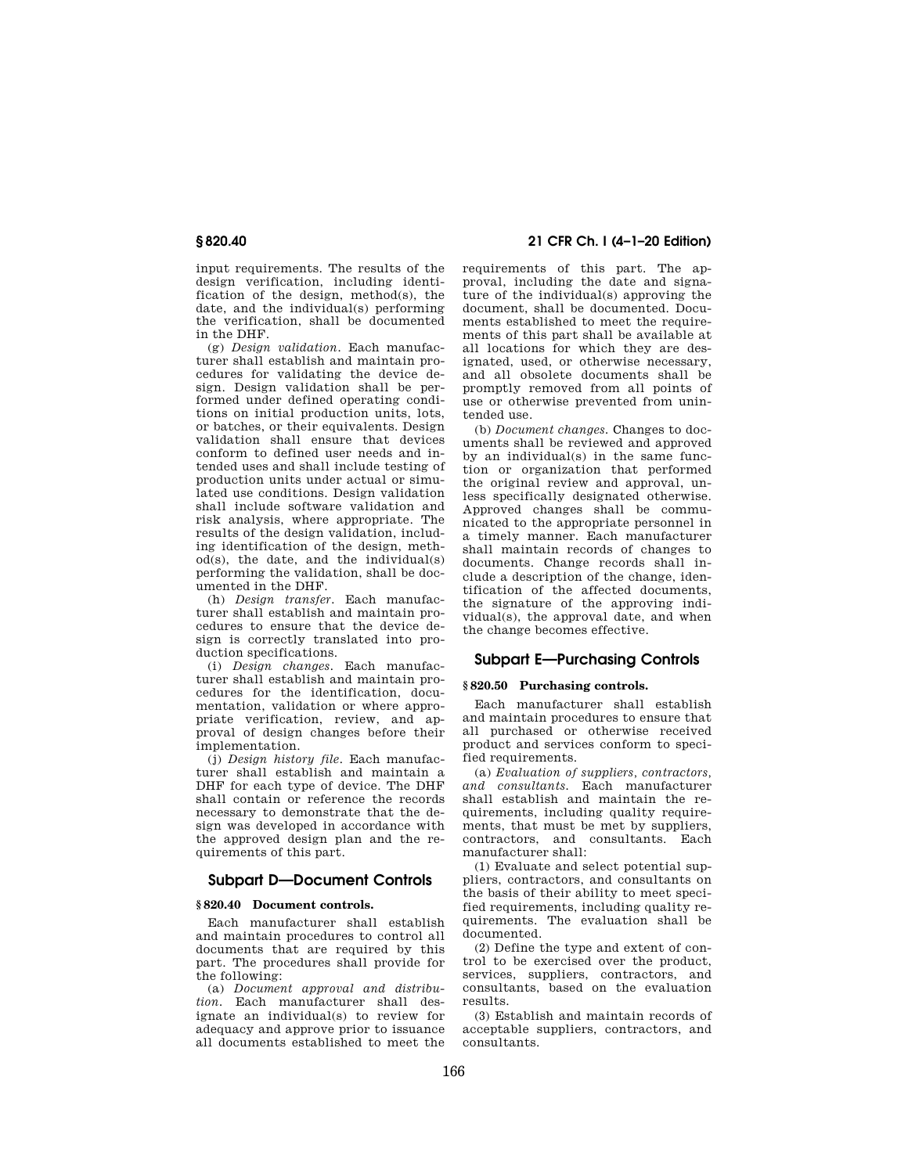input requirements. The results of the design verification, including identification of the design, method(s), the date, and the individual(s) performing the verification, shall be documented in the DHF.

(g) *Design validation.* Each manufacturer shall establish and maintain procedures for validating the device design. Design validation shall be performed under defined operating conditions on initial production units, lots, or batches, or their equivalents. Design validation shall ensure that devices conform to defined user needs and intended uses and shall include testing of production units under actual or simulated use conditions. Design validation shall include software validation and risk analysis, where appropriate. The results of the design validation, including identification of the design, method(s), the date, and the individual(s) performing the validation, shall be documented in the DHF.

(h) *Design transfer.* Each manufacturer shall establish and maintain procedures to ensure that the device design is correctly translated into production specifications.

(i) *Design changes.* Each manufacturer shall establish and maintain procedures for the identification, documentation, validation or where appropriate verification, review, and approval of design changes before their implementation.

(j) *Design history file.* Each manufacturer shall establish and maintain a DHF for each type of device. The DHF shall contain or reference the records necessary to demonstrate that the design was developed in accordance with the approved design plan and the requirements of this part.

# **Subpart D—Document Controls**

# **§ 820.40 Document controls.**

Each manufacturer shall establish and maintain procedures to control all documents that are required by this part. The procedures shall provide for the following:

(a) *Document approval and distribution.* Each manufacturer shall designate an individual(s) to review for adequacy and approve prior to issuance all documents established to meet the

# **§ 820.40 21 CFR Ch. I (4–1–20 Edition)**

requirements of this part. The approval, including the date and signature of the individual(s) approving the document, shall be documented. Documents established to meet the requirements of this part shall be available at all locations for which they are designated, used, or otherwise necessary, and all obsolete documents shall be promptly removed from all points of use or otherwise prevented from unintended use.

(b) *Document changes.* Changes to documents shall be reviewed and approved by an individual(s) in the same function or organization that performed the original review and approval, unless specifically designated otherwise. Approved changes shall be communicated to the appropriate personnel in a timely manner. Each manufacturer shall maintain records of changes to documents. Change records shall include a description of the change, identification of the affected documents, the signature of the approving individual(s), the approval date, and when the change becomes effective.

# **Subpart E—Purchasing Controls**

# **§ 820.50 Purchasing controls.**

Each manufacturer shall establish and maintain procedures to ensure that all purchased or otherwise received product and services conform to specified requirements.

(a) *Evaluation of suppliers, contractors, and consultants.* Each manufacturer shall establish and maintain the requirements, including quality requirements, that must be met by suppliers, contractors, and consultants. Each manufacturer shall:

(1) Evaluate and select potential suppliers, contractors, and consultants on the basis of their ability to meet specified requirements, including quality requirements. The evaluation shall be documented.

(2) Define the type and extent of control to be exercised over the product, services, suppliers, contractors, and consultants, based on the evaluation results.

(3) Establish and maintain records of acceptable suppliers, contractors, and consultants.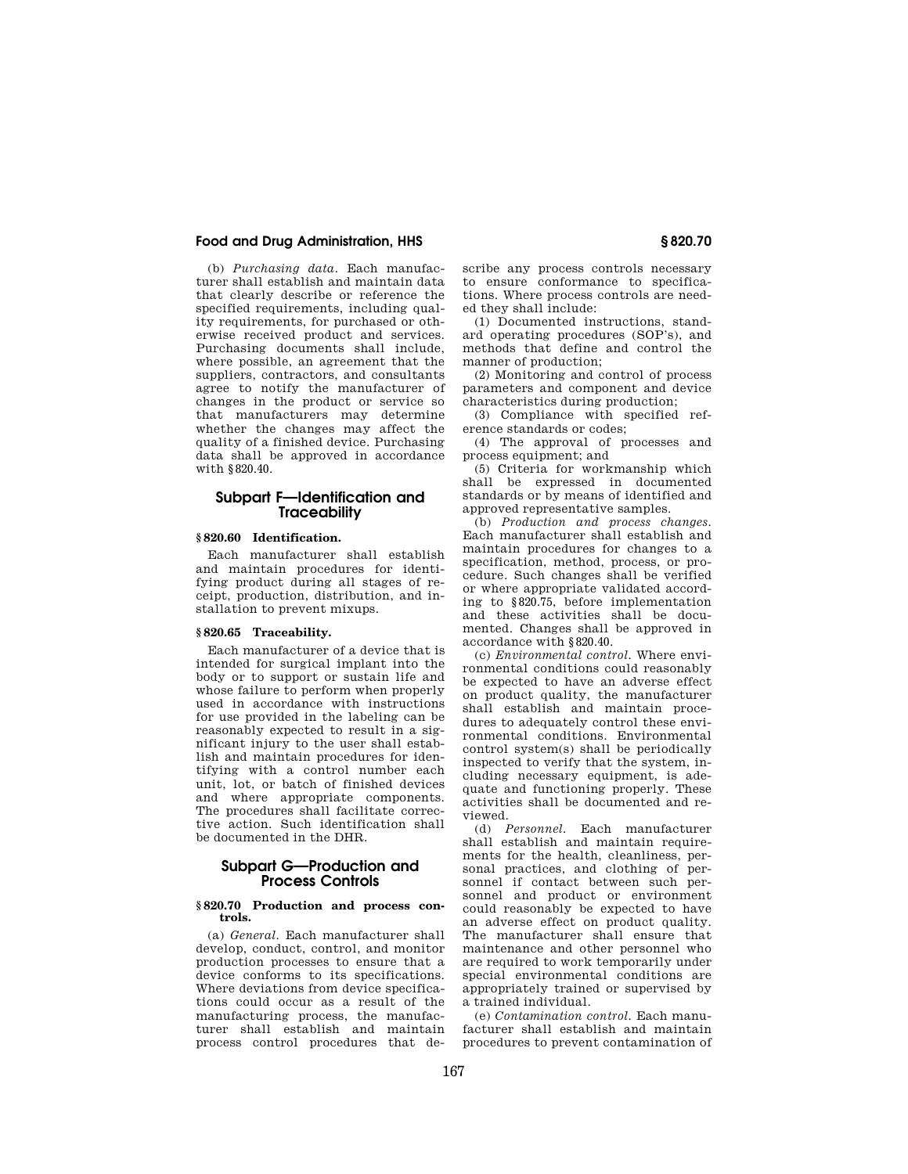(b) *Purchasing data.* Each manufacturer shall establish and maintain data that clearly describe or reference the specified requirements, including quality requirements, for purchased or otherwise received product and services. Purchasing documents shall include, where possible, an agreement that the suppliers, contractors, and consultants agree to notify the manufacturer of changes in the product or service so that manufacturers may determine whether the changes may affect the quality of a finished device. Purchasing data shall be approved in accordance with §820.40.

# **Subpart F—Identification and Traceability**

# **§ 820.60 Identification.**

Each manufacturer shall establish and maintain procedures for identifying product during all stages of receipt, production, distribution, and installation to prevent mixups.

#### **§ 820.65 Traceability.**

Each manufacturer of a device that is intended for surgical implant into the body or to support or sustain life and whose failure to perform when properly used in accordance with instructions for use provided in the labeling can be reasonably expected to result in a significant injury to the user shall establish and maintain procedures for identifying with a control number each unit, lot, or batch of finished devices and where appropriate components. The procedures shall facilitate corrective action. Such identification shall be documented in the DHR.

# **Subpart G—Production and Process Controls**

#### **§ 820.70 Production and process controls.**

(a) *General.* Each manufacturer shall develop, conduct, control, and monitor production processes to ensure that a device conforms to its specifications. Where deviations from device specifications could occur as a result of the manufacturing process, the manufacturer shall establish and maintain process control procedures that describe any process controls necessary to ensure conformance to specifications. Where process controls are needed they shall include:

(1) Documented instructions, standard operating procedures (SOP's), and methods that define and control the manner of production;

(2) Monitoring and control of process parameters and component and device characteristics during production;

(3) Compliance with specified reference standards or codes;

(4) The approval of processes and process equipment; and

(5) Criteria for workmanship which shall be expressed in documented standards or by means of identified and approved representative samples.

(b) *Production and process changes.*  Each manufacturer shall establish and maintain procedures for changes to a specification, method, process, or procedure. Such changes shall be verified or where appropriate validated according to §820.75, before implementation and these activities shall be documented. Changes shall be approved in accordance with §820.40.

(c) *Environmental control.* Where environmental conditions could reasonably be expected to have an adverse effect on product quality, the manufacturer shall establish and maintain procedures to adequately control these environmental conditions. Environmental control system(s) shall be periodically inspected to verify that the system, including necessary equipment, is adequate and functioning properly. These activities shall be documented and reviewed.

(d) *Personnel.* Each manufacturer shall establish and maintain requirements for the health, cleanliness, personal practices, and clothing of personnel if contact between such personnel and product or environment could reasonably be expected to have an adverse effect on product quality. The manufacturer shall ensure that maintenance and other personnel who are required to work temporarily under special environmental conditions are appropriately trained or supervised by a trained individual.

(e) *Contamination control.* Each manufacturer shall establish and maintain procedures to prevent contamination of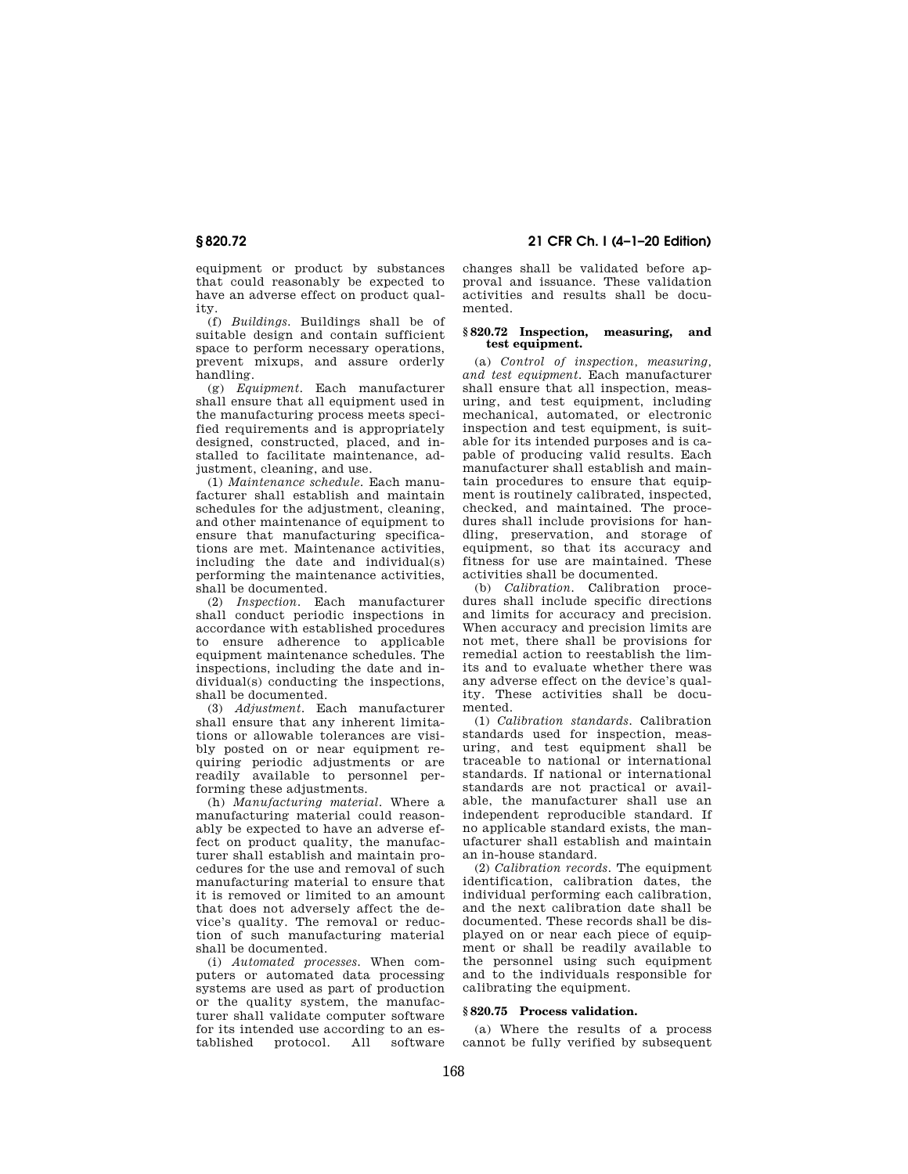equipment or product by substances that could reasonably be expected to have an adverse effect on product quality.

(f) *Buildings.* Buildings shall be of suitable design and contain sufficient space to perform necessary operations, prevent mixups, and assure orderly handling.

(g) *Equipment.* Each manufacturer shall ensure that all equipment used in the manufacturing process meets specified requirements and is appropriately designed, constructed, placed, and installed to facilitate maintenance, adjustment, cleaning, and use.

(1) *Maintenance schedule.* Each manufacturer shall establish and maintain schedules for the adjustment, cleaning, and other maintenance of equipment to ensure that manufacturing specifications are met. Maintenance activities, including the date and individual(s) performing the maintenance activities, shall be documented.

(2) *Inspection.* Each manufacturer shall conduct periodic inspections in accordance with established procedures to ensure adherence to applicable equipment maintenance schedules. The inspections, including the date and individual(s) conducting the inspections, shall be documented.

(3) *Adjustment.* Each manufacturer shall ensure that any inherent limitations or allowable tolerances are visibly posted on or near equipment requiring periodic adjustments or are readily available to personnel performing these adjustments.

(h) *Manufacturing material.* Where a manufacturing material could reasonably be expected to have an adverse effect on product quality, the manufacturer shall establish and maintain procedures for the use and removal of such manufacturing material to ensure that it is removed or limited to an amount that does not adversely affect the device's quality. The removal or reduction of such manufacturing material shall be documented.

(i) *Automated processes.* When computers or automated data processing systems are used as part of production or the quality system, the manufacturer shall validate computer software for its intended use according to an es-<br>tablished protocol. All software tablished

**§ 820.72 21 CFR Ch. I (4–1–20 Edition)** 

changes shall be validated before approval and issuance. These validation activities and results shall be documented.

#### **§ 820.72 Inspection, measuring, and test equipment.**

(a) *Control of inspection, measuring, and test equipment.* Each manufacturer shall ensure that all inspection, measuring, and test equipment, including mechanical, automated, or electronic inspection and test equipment, is suitable for its intended purposes and is capable of producing valid results. Each manufacturer shall establish and maintain procedures to ensure that equipment is routinely calibrated, inspected, checked, and maintained. The procedures shall include provisions for handling, preservation, and storage of equipment, so that its accuracy and fitness for use are maintained. These activities shall be documented.

(b) *Calibration.* Calibration procedures shall include specific directions and limits for accuracy and precision. When accuracy and precision limits are not met, there shall be provisions for remedial action to reestablish the limits and to evaluate whether there was any adverse effect on the device's quality. These activities shall be documented.

(1) *Calibration standards.* Calibration standards used for inspection, measuring, and test equipment shall be traceable to national or international standards. If national or international standards are not practical or available, the manufacturer shall use an independent reproducible standard. If no applicable standard exists, the manufacturer shall establish and maintain an in-house standard.

(2) *Calibration records.* The equipment identification, calibration dates, the individual performing each calibration, and the next calibration date shall be documented. These records shall be displayed on or near each piece of equipment or shall be readily available to the personnel using such equipment and to the individuals responsible for calibrating the equipment.

# **§ 820.75 Process validation.**

(a) Where the results of a process cannot be fully verified by subsequent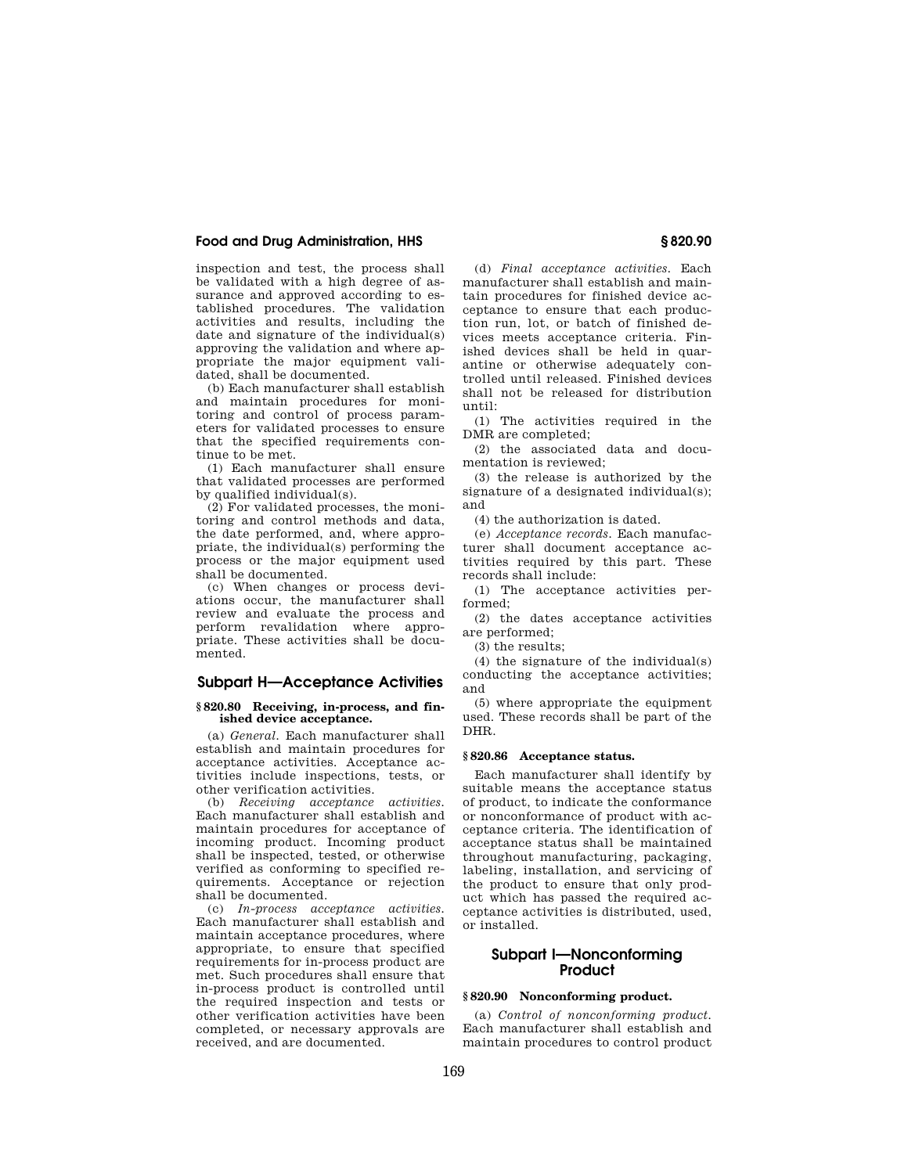inspection and test, the process shall be validated with a high degree of assurance and approved according to established procedures. The validation activities and results, including the date and signature of the individual(s) approving the validation and where appropriate the major equipment validated, shall be documented.

(b) Each manufacturer shall establish and maintain procedures for monitoring and control of process parameters for validated processes to ensure that the specified requirements continue to be met.

(1) Each manufacturer shall ensure that validated processes are performed by qualified individual(s).

(2) For validated processes, the monitoring and control methods and data, the date performed, and, where appropriate, the individual(s) performing the process or the major equipment used shall be documented.

(c) When changes or process deviations occur, the manufacturer shall review and evaluate the process and perform revalidation where appropriate. These activities shall be documented.

# **Subpart H—Acceptance Activities**

#### **§ 820.80 Receiving, in-process, and finished device acceptance.**

(a) *General.* Each manufacturer shall establish and maintain procedures for acceptance activities. Acceptance activities include inspections, tests, or other verification activities.

(b) *Receiving acceptance activities.*  Each manufacturer shall establish and maintain procedures for acceptance of incoming product. Incoming product shall be inspected, tested, or otherwise verified as conforming to specified requirements. Acceptance or rejection shall be documented.

(c) *In-process acceptance activities.*  Each manufacturer shall establish and maintain acceptance procedures, where appropriate, to ensure that specified requirements for in-process product are met. Such procedures shall ensure that in-process product is controlled until the required inspection and tests or other verification activities have been completed, or necessary approvals are received, and are documented.

(d) *Final acceptance activities.* Each manufacturer shall establish and maintain procedures for finished device acceptance to ensure that each production run, lot, or batch of finished devices meets acceptance criteria. Finished devices shall be held in quarantine or otherwise adequately controlled until released. Finished devices shall not be released for distribution until:

(1) The activities required in the DMR are completed;

(2) the associated data and documentation is reviewed;

(3) the release is authorized by the signature of a designated individual(s); and

(4) the authorization is dated.

(e) *Acceptance records.* Each manufacturer shall document acceptance activities required by this part. These records shall include:

(1) The acceptance activities performed;

(2) the dates acceptance activities are performed;

(3) the results;

(4) the signature of the individual(s) conducting the acceptance activities; and

(5) where appropriate the equipment used. These records shall be part of the DHR.

#### **§ 820.86 Acceptance status.**

Each manufacturer shall identify by suitable means the acceptance status of product, to indicate the conformance or nonconformance of product with acceptance criteria. The identification of acceptance status shall be maintained throughout manufacturing, packaging, labeling, installation, and servicing of the product to ensure that only product which has passed the required acceptance activities is distributed, used, or installed.

### **Subpart I—Nonconforming Product**

## **§ 820.90 Nonconforming product.**

(a) *Control of nonconforming product.*  Each manufacturer shall establish and maintain procedures to control product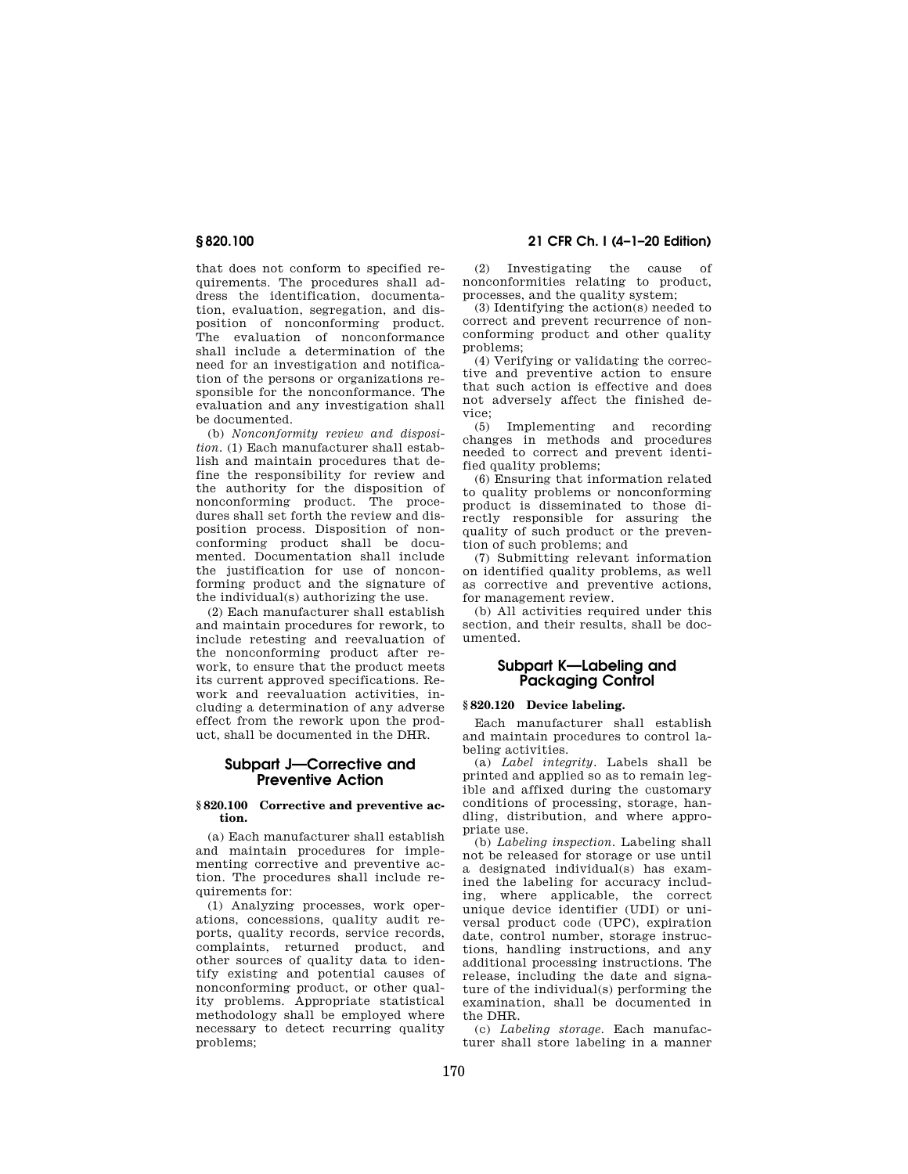that does not conform to specified requirements. The procedures shall address the identification, documentation, evaluation, segregation, and disposition of nonconforming product. The evaluation of nonconformance shall include a determination of the need for an investigation and notification of the persons or organizations responsible for the nonconformance. The evaluation and any investigation shall be documented.

(b) *Nonconformity review and disposition.* (1) Each manufacturer shall establish and maintain procedures that define the responsibility for review and the authority for the disposition of nonconforming product. The procedures shall set forth the review and disposition process. Disposition of nonconforming product shall be documented. Documentation shall include the justification for use of nonconforming product and the signature of the individual(s) authorizing the use.

(2) Each manufacturer shall establish and maintain procedures for rework, to include retesting and reevaluation of the nonconforming product after rework, to ensure that the product meets its current approved specifications. Rework and reevaluation activities, including a determination of any adverse effect from the rework upon the product, shall be documented in the DHR.

# **Subpart J—Corrective and Preventive Action**

#### **§ 820.100 Corrective and preventive action.**

(a) Each manufacturer shall establish and maintain procedures for implementing corrective and preventive action. The procedures shall include requirements for:

(1) Analyzing processes, work operations, concessions, quality audit reports, quality records, service records, complaints, returned product, and other sources of quality data to identify existing and potential causes of nonconforming product, or other quality problems. Appropriate statistical methodology shall be employed where necessary to detect recurring quality problems;

**§ 820.100 21 CFR Ch. I (4–1–20 Edition)** 

(2) Investigating the cause of nonconformities relating to product, processes, and the quality system;

(3) Identifying the action(s) needed to correct and prevent recurrence of nonconforming product and other quality problems;

(4) Verifying or validating the corrective and preventive action to ensure that such action is effective and does not adversely affect the finished device;

(5) Implementing and recording changes in methods and procedures needed to correct and prevent identified quality problems;

(6) Ensuring that information related to quality problems or nonconforming product is disseminated to those directly responsible for assuring the quality of such product or the prevention of such problems; and

(7) Submitting relevant information on identified quality problems, as well as corrective and preventive actions, for management review.

(b) All activities required under this section, and their results, shall be documented.

# **Subpart K—Labeling and Packaging Control**

# **§ 820.120 Device labeling.**

Each manufacturer shall establish and maintain procedures to control labeling activities.

(a) *Label integrity.* Labels shall be printed and applied so as to remain legible and affixed during the customary conditions of processing, storage, handling, distribution, and where appropriate use.

(b) *Labeling inspection.* Labeling shall not be released for storage or use until a designated individual(s) has examined the labeling for accuracy including, where applicable, the correct unique device identifier (UDI) or universal product code (UPC), expiration date, control number, storage instructions, handling instructions, and any additional processing instructions. The release, including the date and signature of the individual(s) performing the examination, shall be documented in the DHR.

(c) *Labeling storage.* Each manufacturer shall store labeling in a manner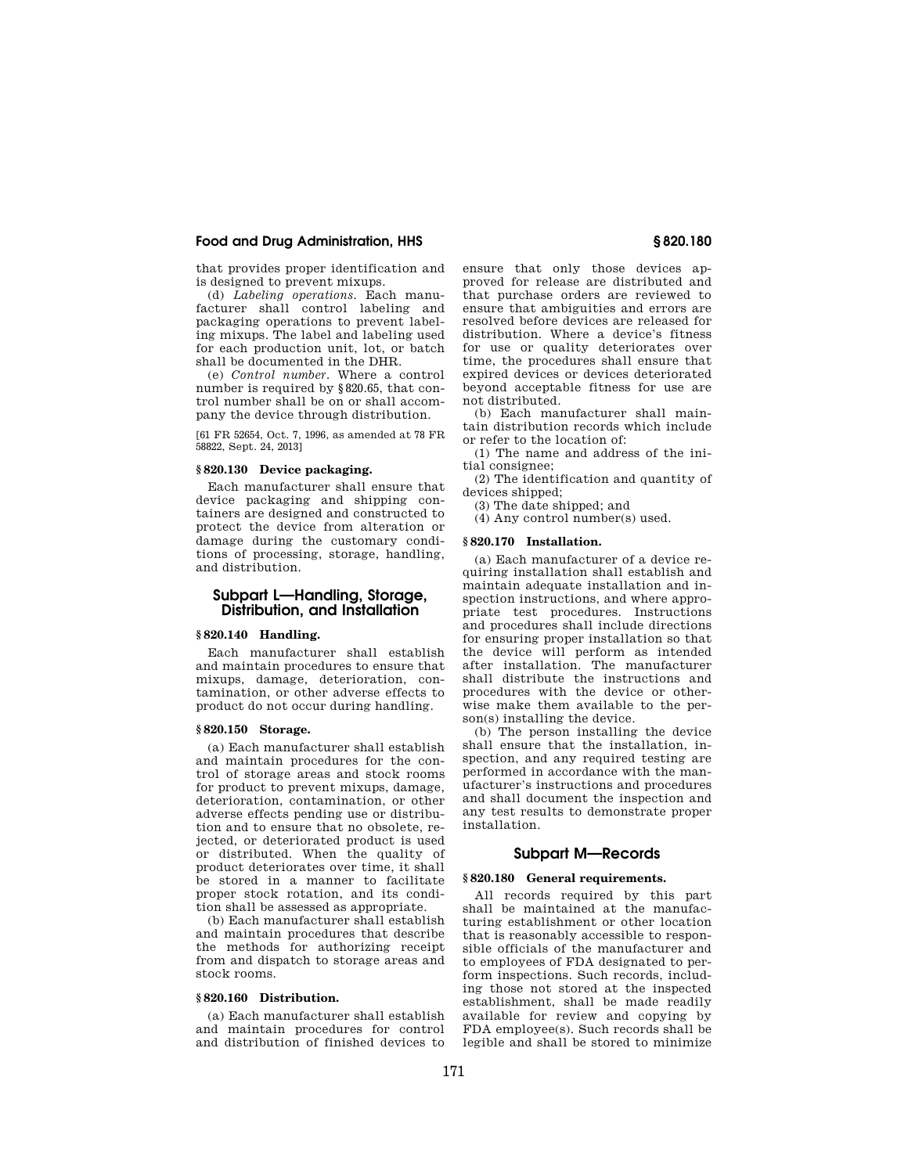that provides proper identification and is designed to prevent mixups.

(d) *Labeling operations.* Each manufacturer shall control labeling and packaging operations to prevent labeling mixups. The label and labeling used for each production unit, lot, or batch shall be documented in the DHR.

(e) *Control number.* Where a control number is required by §820.65, that control number shall be on or shall accompany the device through distribution.

[61 FR 52654, Oct. 7, 1996, as amended at 78 FR 58822, Sept. 24, 2013]

#### **§ 820.130 Device packaging.**

Each manufacturer shall ensure that device packaging and shipping containers are designed and constructed to protect the device from alteration or damage during the customary conditions of processing, storage, handling, and distribution.

# **Subpart L—Handling, Storage, Distribution, and Installation**

#### **§ 820.140 Handling.**

Each manufacturer shall establish and maintain procedures to ensure that mixups, damage, deterioration, contamination, or other adverse effects to product do not occur during handling.

#### **§ 820.150 Storage.**

(a) Each manufacturer shall establish and maintain procedures for the control of storage areas and stock rooms for product to prevent mixups, damage, deterioration, contamination, or other adverse effects pending use or distribution and to ensure that no obsolete, rejected, or deteriorated product is used or distributed. When the quality of product deteriorates over time, it shall be stored in a manner to facilitate proper stock rotation, and its condition shall be assessed as appropriate.

(b) Each manufacturer shall establish and maintain procedures that describe the methods for authorizing receipt from and dispatch to storage areas and stock rooms.

#### **§ 820.160 Distribution.**

(a) Each manufacturer shall establish and maintain procedures for control and distribution of finished devices to ensure that only those devices approved for release are distributed and that purchase orders are reviewed to ensure that ambiguities and errors are resolved before devices are released for distribution. Where a device's fitness for use or quality deteriorates over time, the procedures shall ensure that expired devices or devices deteriorated beyond acceptable fitness for use are not distributed.

(b) Each manufacturer shall maintain distribution records which include or refer to the location of:

(1) The name and address of the initial consignee;

(2) The identification and quantity of devices shipped;

(3) The date shipped; and

(4) Any control number(s) used.

#### **§ 820.170 Installation.**

(a) Each manufacturer of a device requiring installation shall establish and maintain adequate installation and inspection instructions, and where appropriate test procedures. Instructions and procedures shall include directions for ensuring proper installation so that the device will perform as intended after installation. The manufacturer shall distribute the instructions and procedures with the device or otherwise make them available to the person(s) installing the device.

(b) The person installing the device shall ensure that the installation, inspection, and any required testing are performed in accordance with the manufacturer's instructions and procedures and shall document the inspection and any test results to demonstrate proper installation.

# **Subpart M—Records**

# **§ 820.180 General requirements.**

All records required by this part shall be maintained at the manufacturing establishment or other location that is reasonably accessible to responsible officials of the manufacturer and to employees of FDA designated to perform inspections. Such records, including those not stored at the inspected establishment, shall be made readily available for review and copying by FDA employee(s). Such records shall be legible and shall be stored to minimize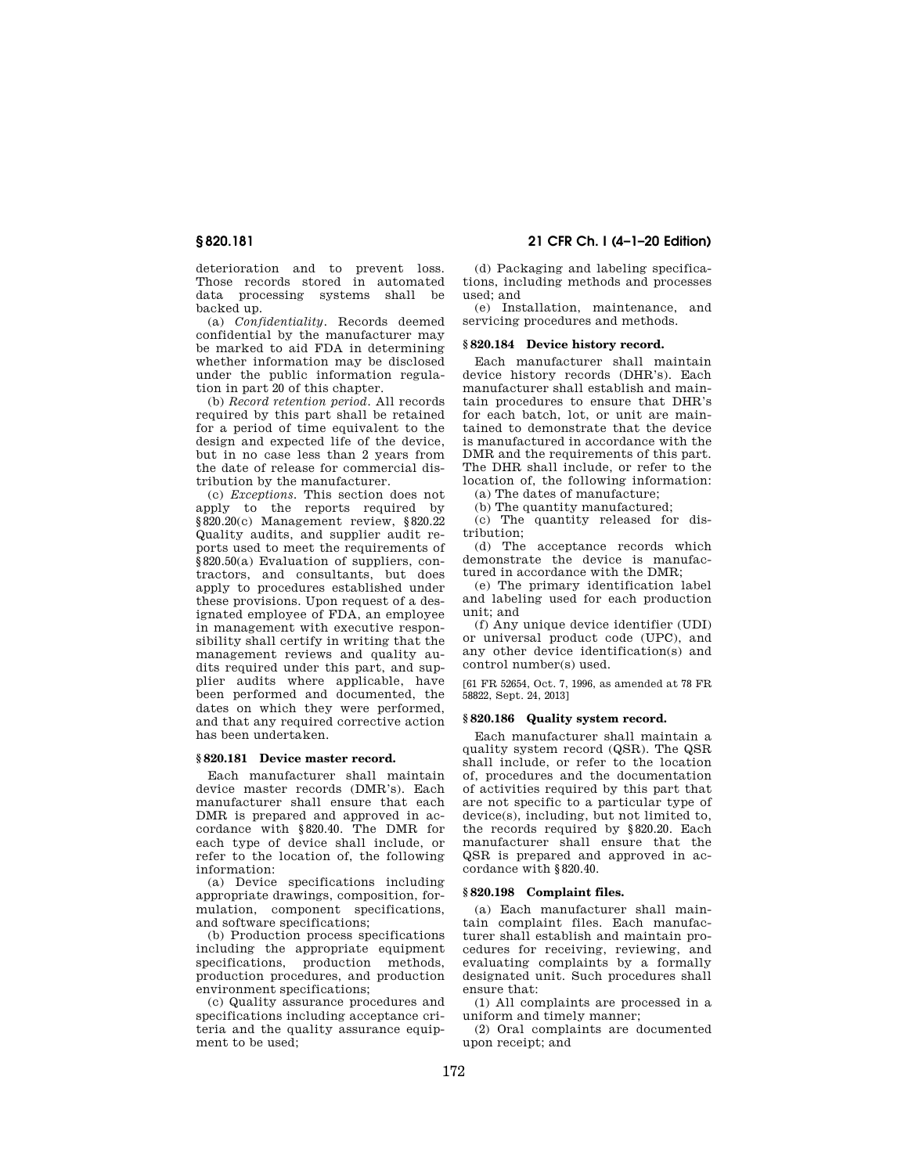deterioration and to prevent loss. Those records stored in automated data processing systems shall be backed up.

(a) *Confidentiality.* Records deemed confidential by the manufacturer may be marked to aid FDA in determining whether information may be disclosed under the public information regulation in part 20 of this chapter.

(b) *Record retention period.* All records required by this part shall be retained for a period of time equivalent to the design and expected life of the device, but in no case less than 2 years from the date of release for commercial distribution by the manufacturer.

(c) *Exceptions.* This section does not apply to the reports required by §820.20(c) Management review, §820.22 Quality audits, and supplier audit reports used to meet the requirements of §820.50(a) Evaluation of suppliers, contractors, and consultants, but does apply to procedures established under these provisions. Upon request of a designated employee of FDA, an employee in management with executive responsibility shall certify in writing that the management reviews and quality audits required under this part, and supplier audits where applicable, have been performed and documented, the dates on which they were performed, and that any required corrective action has been undertaken.

#### **§ 820.181 Device master record.**

Each manufacturer shall maintain device master records (DMR's). Each manufacturer shall ensure that each DMR is prepared and approved in accordance with §820.40. The DMR for each type of device shall include, or refer to the location of, the following information:

(a) Device specifications including appropriate drawings, composition, formulation, component specifications, and software specifications;

(b) Production process specifications including the appropriate equipment specifications, production methods, production procedures, and production environment specifications;

(c) Quality assurance procedures and specifications including acceptance criteria and the quality assurance equipment to be used:

**§ 820.181 21 CFR Ch. I (4–1–20 Edition)** 

(d) Packaging and labeling specifications, including methods and processes used; and

(e) Installation, maintenance, and servicing procedures and methods.

#### **§ 820.184 Device history record.**

Each manufacturer shall maintain device history records (DHR's). Each manufacturer shall establish and maintain procedures to ensure that DHR's for each batch, lot, or unit are maintained to demonstrate that the device is manufactured in accordance with the DMR and the requirements of this part. The DHR shall include, or refer to the location of, the following information:

(a) The dates of manufacture;

(b) The quantity manufactured;

(c) The quantity released for distribution;

(d) The acceptance records which demonstrate the device is manufactured in accordance with the DMR;

(e) The primary identification label and labeling used for each production unit; and

(f) Any unique device identifier (UDI) or universal product code (UPC), and any other device identification(s) and control number(s) used.

[61 FR 52654, Oct. 7, 1996, as amended at 78 FR 58822, Sept. 24, 2013]

#### **§ 820.186 Quality system record.**

Each manufacturer shall maintain a quality system record (QSR). The QSR shall include, or refer to the location of, procedures and the documentation of activities required by this part that are not specific to a particular type of device(s), including, but not limited to, the records required by §820.20. Each manufacturer shall ensure that the QSR is prepared and approved in accordance with §820.40.

#### **§ 820.198 Complaint files.**

(a) Each manufacturer shall maintain complaint files. Each manufacturer shall establish and maintain procedures for receiving, reviewing, and evaluating complaints by a formally designated unit. Such procedures shall ensure that:

(1) All complaints are processed in a uniform and timely manner;

(2) Oral complaints are documented upon receipt; and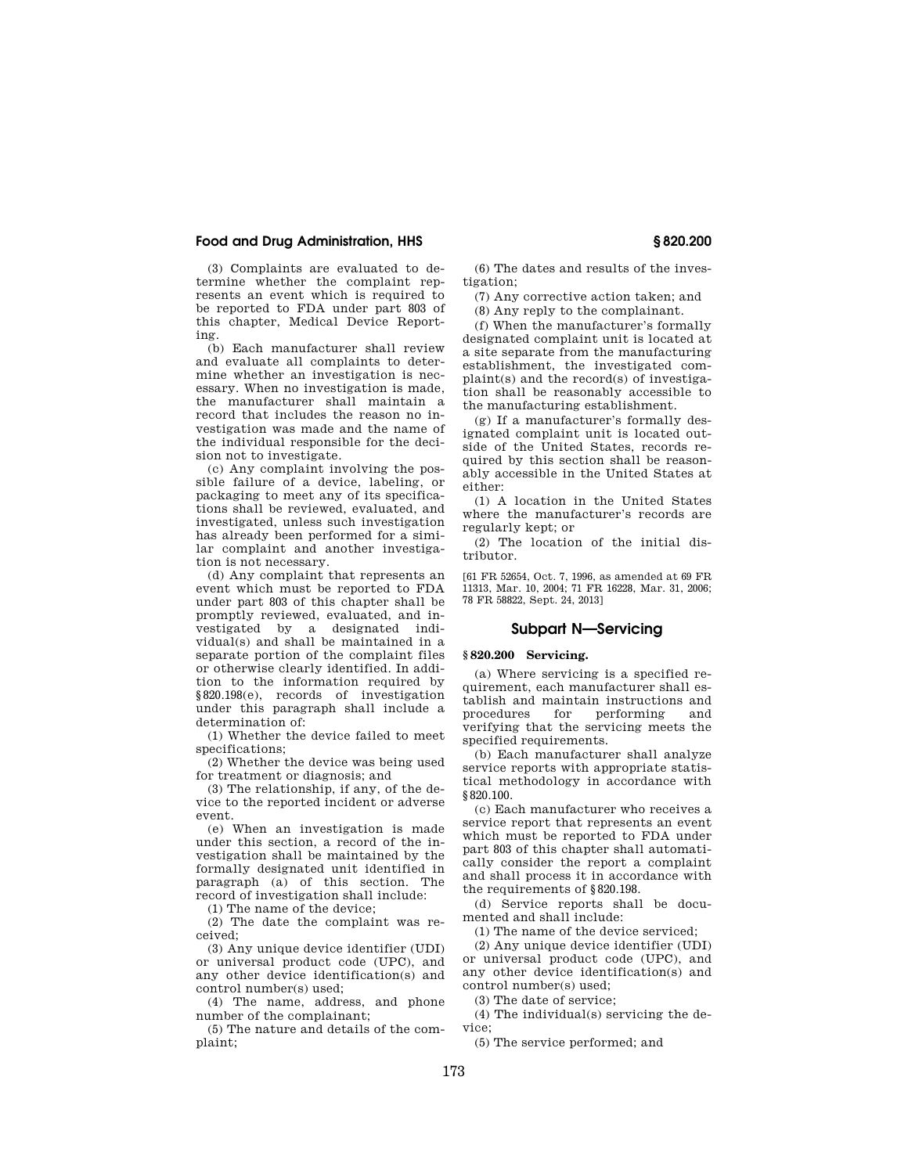(3) Complaints are evaluated to determine whether the complaint represents an event which is required to be reported to FDA under part 803 of this chapter, Medical Device Reporting.

(b) Each manufacturer shall review and evaluate all complaints to determine whether an investigation is necessary. When no investigation is made, the manufacturer shall maintain a record that includes the reason no investigation was made and the name of the individual responsible for the decision not to investigate.

(c) Any complaint involving the possible failure of a device, labeling, or packaging to meet any of its specifications shall be reviewed, evaluated, and investigated, unless such investigation has already been performed for a similar complaint and another investigation is not necessary.

(d) Any complaint that represents an event which must be reported to FDA under part 803 of this chapter shall be promptly reviewed, evaluated, and investigated by a designated individual(s) and shall be maintained in a separate portion of the complaint files or otherwise clearly identified. In addition to the information required by §820.198(e), records of investigation under this paragraph shall include a determination of:

(1) Whether the device failed to meet specifications;

(2) Whether the device was being used for treatment or diagnosis; and

(3) The relationship, if any, of the device to the reported incident or adverse event.

(e) When an investigation is made under this section, a record of the investigation shall be maintained by the formally designated unit identified in paragraph (a) of this section. The record of investigation shall include:

(1) The name of the device;

(2) The date the complaint was received;

(3) Any unique device identifier (UDI) or universal product code (UPC), and any other device identification(s) and control number(s) used;

(4) The name, address, and phone number of the complainant;

(5) The nature and details of the complaint;

(6) The dates and results of the investigation;

(7) Any corrective action taken; and

(8) Any reply to the complainant.

(f) When the manufacturer's formally designated complaint unit is located at a site separate from the manufacturing establishment, the investigated complaint(s) and the record(s) of investigation shall be reasonably accessible to the manufacturing establishment.

(g) If a manufacturer's formally designated complaint unit is located outside of the United States, records required by this section shall be reasonably accessible in the United States at either:

(1) A location in the United States where the manufacturer's records are regularly kept; or

(2) The location of the initial distributor.

[61 FR 52654, Oct. 7, 1996, as amended at 69 FR 11313, Mar. 10, 2004; 71 FR 16228, Mar. 31, 2006; 78 FR 58822, Sept. 24, 2013]

# **Subpart N—Servicing**

# **§ 820.200 Servicing.**

(a) Where servicing is a specified requirement, each manufacturer shall establish and maintain instructions and procedures for performing and verifying that the servicing meets the specified requirements.

(b) Each manufacturer shall analyze service reports with appropriate statistical methodology in accordance with §820.100.

(c) Each manufacturer who receives a service report that represents an event which must be reported to FDA under part 803 of this chapter shall automatically consider the report a complaint and shall process it in accordance with the requirements of §820.198.

(d) Service reports shall be documented and shall include:

(1) The name of the device serviced;

(2) Any unique device identifier (UDI) or universal product code (UPC), and any other device identification(s) and control number(s) used;

(3) The date of service;

(4) The individual(s) servicing the device;

(5) The service performed; and